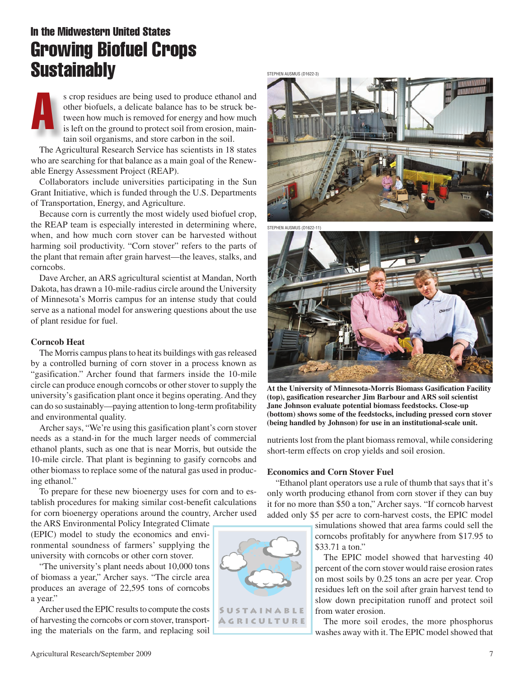# In the Midwestern United States Growing Biofuel Crops **Sustainably**

A s crop residues are being used to produce ethanol and other biofuels, a delicate balance has to be struck between how much is removed for energy and how much is left on the ground to protect soil from erosion, maintain soil organisms, and store carbon in the soil.

The Agricultural Research Service has scientists in 18 states who are searching for that balance as a main goal of the Renewable Energy Assessment Project (REAP).

Collaborators include universities participating in the Sun Grant Initiative, which is funded through the U.S. Departments of Transportation, Energy, and Agriculture.

Because corn is currently the most widely used biofuel crop, the REAP team is especially interested in determining where, when, and how much corn stover can be harvested without harming soil productivity. "Corn stover" refers to the parts of the plant that remain after grain harvest—the leaves, stalks, and corncobs.

Dave Archer, an ARS agricultural scientist at Mandan, North Dakota, has drawn a 10-mile-radius circle around the University of Minnesota's Morris campus for an intense study that could serve as a national model for answering questions about the use of plant residue for fuel.

#### **Corncob Heat**

The Morris campus plans to heat its buildings with gas released by a controlled burning of corn stover in a process known as "gasification." Archer found that farmers inside the 10-mile circle can produce enough corncobs or other stover to supply the university's gasification plant once it begins operating. And they can do so sustainably—paying attention to long-term profitability and environmental quality.

Archer says, "We're using this gasification plant's corn stover needs as a stand-in for the much larger needs of commercial ethanol plants, such as one that is near Morris, but outside the 10-mile circle. That plant is beginning to gasify corncobs and other biomass to replace some of the natural gas used in producing ethanol."

To prepare for these new bioenergy uses for corn and to establish procedures for making similar cost-benefit calculations for corn bioenergy operations around the country, Archer used

the ARS Environmental Policy Integrated Climate (EPIC) model to study the economics and environmental soundness of farmers' supplying the university with corncobs or other corn stover.

"The university's plant needs about 10,000 tons of biomass a year," Archer says. "The circle area produces an average of 22,595 tons of corncobs a year."

Archer used the EPIC results to compute the costs of harvesting the corncobs or corn stover, transporting the materials on the farm, and replacing soil





**At the University of Minnesota-Morris Biomass Gasification Facility (top), gasification researcher Jim Barbour and ARS soil scientist Jane Johnson evaluate potential biomass feedstocks. Close-up (bottom) shows some of the feedstocks, including pressed corn stover (being handled by Johnson) for use in an institutional-scale unit.**

nutrients lost from the plant biomass removal, while considering short-term effects on crop yields and soil erosion.

### **Economics and Corn Stover Fuel**

"Ethanol plant operators use a rule of thumb that says that it's only worth producing ethanol from corn stover if they can buy it for no more than \$50 a ton," Archer says. "If corncob harvest added only \$5 per acre to corn-harvest costs, the EPIC model

> simulations showed that area farms could sell the corncobs profitably for anywhere from \$17.95 to \$33.71 a ton."

> The EPIC model showed that harvesting 40 percent of the corn stover would raise erosion rates on most soils by 0.25 tons an acre per year. Crop residues left on the soil after grain harvest tend to slow down precipitation runoff and protect soil from water erosion.

> The more soil erodes, the more phosphorus washes away with it. The EPIC model showed that

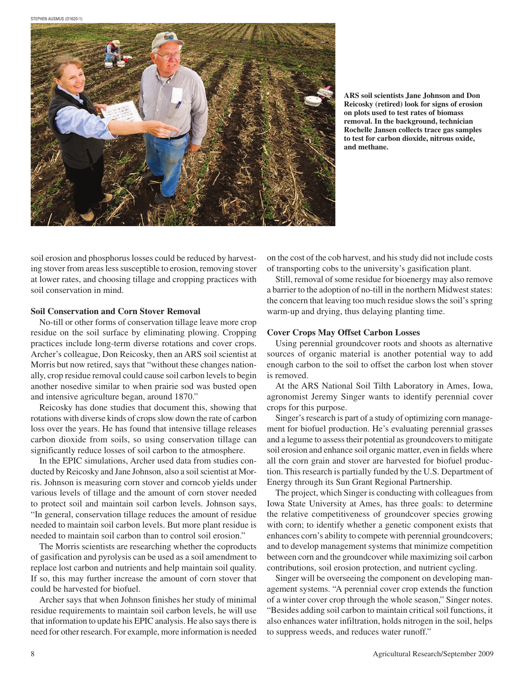

**ARS soil scientists Jane Johnson and Don Reicosky (retired) look for signs of erosion on plots used to test rates of biomass removal. In the background, technician Rochelle Jansen collects trace gas samples to test for carbon dioxide, nitrous oxide, and methane.**

soil erosion and phosphorus losses could be reduced by harvesting stover from areas less susceptible to erosion, removing stover at lower rates, and choosing tillage and cropping practices with soil conservation in mind.

### **Soil Conservation and Corn Stover Removal**

No-till or other forms of conservation tillage leave more crop residue on the soil surface by eliminating plowing. Cropping practices include long-term diverse rotations and cover crops. Archer's colleague, Don Reicosky, then an ARS soil scientist at Morris but now retired, says that "without these changes nationally, crop residue removal could cause soil carbon levels to begin another nosedive similar to when prairie sod was busted open and intensive agriculture began, around 1870."

Reicosky has done studies that document this, showing that rotations with diverse kinds of crops slow down the rate of carbon loss over the years. He has found that intensive tillage releases carbon dioxide from soils, so using conservation tillage can significantly reduce losses of soil carbon to the atmosphere.

In the EPIC simulations, Archer used data from studies conducted by Reicosky and Jane Johnson, also a soil scientist at Morris. Johnson is measuring corn stover and corncob yields under various levels of tillage and the amount of corn stover needed to protect soil and maintain soil carbon levels. Johnson says, "In general, conservation tillage reduces the amount of residue needed to maintain soil carbon levels. But more plant residue is needed to maintain soil carbon than to control soil erosion."

The Morris scientists are researching whether the coproducts of gasification and pyrolysis can be used as a soil amendment to replace lost carbon and nutrients and help maintain soil quality. If so, this may further increase the amount of corn stover that could be harvested for biofuel.

Archer says that when Johnson finishes her study of minimal residue requirements to maintain soil carbon levels, he will use that information to update his EPIC analysis. He also says there is need for other research. For example, more information is needed on the cost of the cob harvest, and his study did not include costs of transporting cobs to the university's gasification plant.

Still, removal of some residue for bioenergy may also remove a barrier to the adoption of no-till in the northern Midwest states: the concern that leaving too much residue slows the soil's spring warm-up and drying, thus delaying planting time.

## **Cover Crops May Offset Carbon Losses**

Using perennial groundcover roots and shoots as alternative sources of organic material is another potential way to add enough carbon to the soil to offset the carbon lost when stover is removed.

At the ARS National Soil Tilth Laboratory in Ames, Iowa, agronomist Jeremy Singer wants to identify perennial cover crops for this purpose.

Singer's research is part of a study of optimizing corn management for biofuel production. He's evaluating perennial grasses and a legume to assess their potential as groundcovers to mitigate soil erosion and enhance soil organic matter, even in fields where all the corn grain and stover are harvested for biofuel production. This research is partially funded by the U.S. Department of Energy through its Sun Grant Regional Partnership.

The project, which Singer is conducting with colleagues from Iowa State University at Ames, has three goals: to determine the relative competitiveness of groundcover species growing with corn; to identify whether a genetic component exists that enhances corn's ability to compete with perennial groundcovers; and to develop management systems that minimize competition between corn and the groundcover while maximizing soil carbon contributions, soil erosion protection, and nutrient cycling.

Singer will be overseeing the component on developing management systems. "A perennial cover crop extends the function of a winter cover crop through the whole season," Singer notes. "Besides adding soil carbon to maintain critical soil functions, it also enhances water infiltration, holds nitrogen in the soil, helps to suppress weeds, and reduces water runoff."